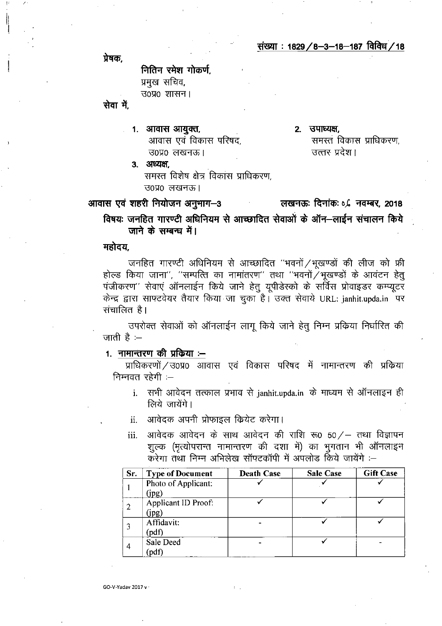संख्या: 1829/8-3-18-187 विविध/18

प्रेषक.

नितिन रमेश गोकर्ण, प्रमुख सचिव, उ०प्र० शासन।

सेवा में.

- 1. आवास आयुक्त, आवास एवं विकास परिषद, उ०प्र० लखनऊ।
- 2. उपाध्यक्ष समस्त विकास प्राधिकरण. उत्तर प्रदेश।
- 3. अध्यक्ष. समस्त विशेष क्षेत्र विकास प्राधिकरण, उ०प्र० लखनऊ।

आवास एवं शहरी नियोजन अनुभाग-3 लखनऊः दिनांकः ०,८ नवम्बर, 2018 विषयः जनहित गारण्टी अधिनियम से आच्छादित सेवाओं के ऑन–लाईन संचालन किये जाने के सम्बन्ध में।

# महोदय.

GO-V-Yadav 2017 v

जनहित गारण्टी अधिनियम से आच्छादित "भवनों /भूखण्डों की लीज को फ्री होल्ड किया जाना", "सम्पत्ति का नामांतरण" तथा "भवनों $\breve{/}$ भूखण्डों के आवंटन हेतु पंजीकरण'' सेवाएं ऑनलाईन किये जाने हेतु यूपीडेस्को के सर्विस प्रोवाइडर कम्प्यूटर केन्द्र द्वारा साफ्टवेयर तैयार किया जा चुका है। उक्त सेवाये URL: janhit.upda.in पर सचालित है।

उपरोक्त सेवाओं को ऑनलाईन लागू किये जाने हेतू निम्न प्रकिया निर्धारित की जाती है $\div$ 

# 1. नामान्तरण की प्रकिया :--

प्राधिकरणों / उ0प्र0 आवास एवं विकास परिषद में नामान्तरण की प्रक्रिया निम्नवत रहेगी  $-$ 

- i. सभी आवेदन तत्काल प्रभाव से janhit.upda.in के माध्यम से ऑनलाइन ही लिये जायेंगे।
- आवेदक अपनी प्रोफाइल क्रियेट करेगा।  $ii$ .
- आवेदक आवेदन के साथ आवेदन की राशि रू0 50/- तथा विज्ञापन iii. शुल्क (मृत्योपरान्त नामान्तरण की दशा में) का भुगतान भी ऑनलाइन करेगा तथा निम्न अभिलेख सॉफ्टकॉपी में अपलोड किये जायेंगे :-

| Sr. | <b>Type of Document</b>      | <b>Death Case</b> | <b>Sale Case</b> | <b>Gift Case</b> |
|-----|------------------------------|-------------------|------------------|------------------|
|     | Photo of Applicant:<br>(jpg) |                   |                  |                  |
|     | Applicant ID Proof:<br>(jpg) |                   |                  |                  |
|     | Affidavit:<br>(pdf)          |                   |                  |                  |
| 4   | Sale Deed<br>(pdf)           |                   |                  |                  |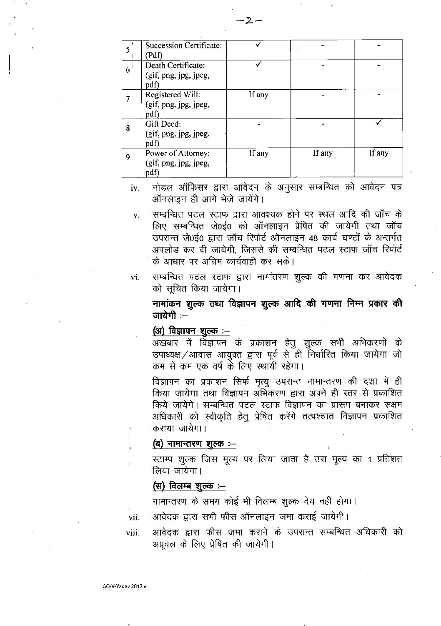|                | <b>Succession Certificate:</b><br>(Pdf)             |        |        |        |
|----------------|-----------------------------------------------------|--------|--------|--------|
| 6 <sup>1</sup> | Death Certificate:<br>(gif, png, jpg, jpeg,<br>pdf) |        |        |        |
|                | Registered Will:<br>(gif, png, jpg, jpeg,<br>pdf)   | If any |        |        |
| 8              | Gift Deed:<br>(gif, png, jpg, jpeg,<br>pdf)         |        |        |        |
| 9              | Power of Attorney:<br>(gif, png, jpg, jpeg,<br>pdf) | If any | If any | If any |

नोडल ऑफिसर द्वारा आवेदन के अनुसार सम्बन्धित को आवेदन पत्र iv. ऑनलाइन ही आगे भेजे जायेंगे।

सम्बन्धित पटल स्टाफ द्वारा आवश्यक होने पर स्थल आदि की जॉच के  $\bar{\mathbf{v}}$ . लिए सम्बन्धित जे0ई0 को ऑनलाइन प्रेषित की जायेगी तथा जॉच उपरान्त जे0ई0 द्वारा जॉच रिपोर्ट ऑनलाइन 48 कार्य घण्टों के अन्तर्गत अपलोड कर दी जायेगी, जिससे की सम्बन्धित पटल स्टाफ जॉच रिपोर्ट के आधार पर अग्रिम कार्यवाही कर सके।

सम्बन्धित पटल स्टाफ द्वारा नामांतरण शुल्क की गणना कर आवेदक  $\mathbf{vi}$ . को सूचित किया जायेगा।

नामांकन शुल्क तथा विज्ञापन शुल्क आदि की गणना निम्न प्रकार की जायेगी $-$ 

## (अ) विज्ञापन शूल्क :--

अखबार में विज्ञापन के प्रकाशन हेतू शुल्क सभी अभिकरणों के उपाध्यक्ष / आवास आयुक्त द्वारा पूर्व से ही निर्धारित किया जायेगा जो कम से कम एक वर्ष के लिए स्थायी रहेगा।

विज्ञापन का प्रकाशन सिर्फ मृत्यू उपरान्त नामान्तरण की दशा में ही किया जायेगा तथा विज्ञापन अभिकरण द्वारा अपने ही स्तर से प्रकाशित किये जायेंगे। सम्बन्धित पटल स्टाफ विज्ञापन का प्रारूप बनाकर सक्षम अधिकारी को स्वीकृति हेतू प्रेषित करेंगे तत्पश्चात विज्ञापन प्रकाशित कराया जायेगा।

### (ब) नामान्तरण शुल्क :-

स्टाम्प शुल्क जिस मूल्य पर लिया जाता है उस मूल्य का 1 प्रतिशत लिया जायेगा।

# (स) <u>विलम्ब शुल्क :--</u>

नामान्तरण के समय कोई भी विलम्ब शुल्क देय नहीं होगा।

आवेदक द्वारा सभी फीस ऑनलाइन जमा कराई जायेगी। vii.

आवेदक द्वारा फीस जमा कराने के उपरान्त सम्बन्धित अधिकारी को viii. अप्रूवल के लिए प्रेषित की जायेगी।

-2-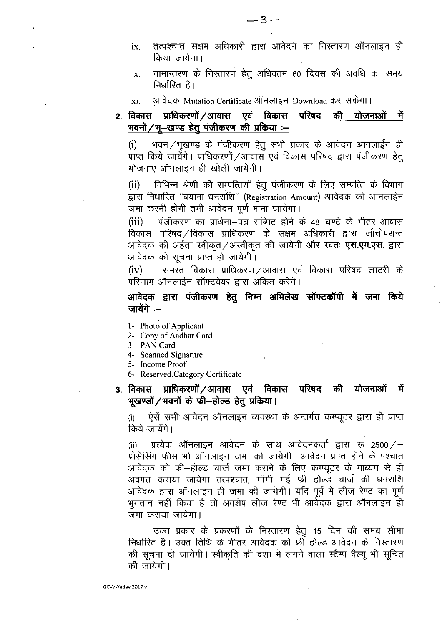- तत्पश्चात सक्षम अधिकारी द्वारा आवेदन का निस्तारण ऑनलाइन ही  $ix.$ किया जायेगा।
- नामान्तरण के निस्तारण हेतु अधिक्तम 60 दिवस की अवधि का समय  $\mathbf{x}$ . निर्धारित है।
- आवेदक Mutation Certificate ऑनलाइन Download कर सकेगा। xi.
- 2. विकास प्राधिकरणों ⁄ आवास एवं विकास परिषद की योजनाओं ਸੇਂ भवनों / भू-खण्ड हेतू पंजीकरण की प्रकिया :-

भवन ⁄ भूखण्ड के पंजीकरण हेतू सभी प्रकार के आवेदन आनलाईन ही  $(i)$ प्राप्त किये जायेंगे। प्राधिकरणों / आवास एवं विकास परिषद द्वारा पंजीकरण हेतू योजनाएं ऑनलाइन ही खोली जायेंगी।

विभिन्न श्रेणी की सम्पत्तियों हेतू पंजीकरण के लिए सम्पत्ति के विभाग  $(ii)$ द्वारा निर्धारित "बयाना धनराशि" (Registration Amount) आवेदक को आनलाईन जमा करनी होगी तभी आवेदन पूर्ण माना जायेगा।

पंजीकरण का प्रार्थना-पत्र सब्मिट होने के 48 घण्टे के भीतर आवास  $(iii)$ विकास परिषद /विकास प्राधिकरण के सक्षम अधिकारी द्वारा जाँचोपरान्त आवेदक की अर्हता स्वीकृत /अस्वीकृत की जायेगी और स्वतः **एस.एम.एस.** द्वारा आवेदक को सूचना प्राप्त हो जायेगी।

समस्त विकास प्राधिकरण ⁄आवास एवं विकास परिषद लाटरी के  $(iv)$ परिणाम ऑनलाईन सॉफ्टवेयर द्वारा अंकित करेंगे।

आवेदक द्वारा पंजीकरण हेतू निम्न अभिलेख सॉफ्टकॉपी में जमा किये जायेंगे $-$ 

- 1- Photo of Applicant
- 2- Copy of Aadhar Card
- 3- PAN Card
- 4- Scanned Signature
- 5- Income Proof
- 6- Reserved Category Certificate

#### प्राधिकरणों ⁄ आवास एवं विकास परिषद की योजनाओं ३. विकास में भुखण्डों / भवनों के फ्री–होल्ड हेतु प्रकिया।

ऐसें सभी आवेदन ऑनलाइन व्यवस्था के अन्तर्गत कम्प्यूटर द्वारा ही प्राप्त  $(i)$ किये जायेंगे।

प्रत्येक ऑनलाइन आवेदन के साथ आवेदनकर्ता द्वारा रू 2500/—  $(ii)$ प्रोसेसिंग फीस भी ऑनलाइन जमा की जायेगी। आवेदन प्राप्त होने के पश्चात आवेदक को फ़ी–होल्ड चार्ज जमा कराने के लिए कम्प्यूटर के माध्यम से ही अवगत कराया जायेगा तत्पश्चात, मॉंगी गई फ्री होल्ड चार्ज की धनराशि आवेदक द्वारा ऑनलाइन ही जमा की जायेगी। यदि पूर्व में लीज रेण्ट का पूर्ण भुगतान नहीं किया है तो अवशेष लीज रेण्ट भी आवेदक द्वारा ऑनलाइन ही जमा कराया जायेगा।

उक्त प्रकार के प्रकरणों के निस्तारण हेतू 15 दिन की समय सीमा निर्धारित है। उक्त तिथि के भीतर आवेदक को फ्री होल्ड आवेदन के निस्तारण की सूचना दी जायेगी। स्वीकृति की दशा में लगने वाला स्टैम्प वैल्यू भी सूचित की जायेगी।

GO-V-Yadav 2017 v